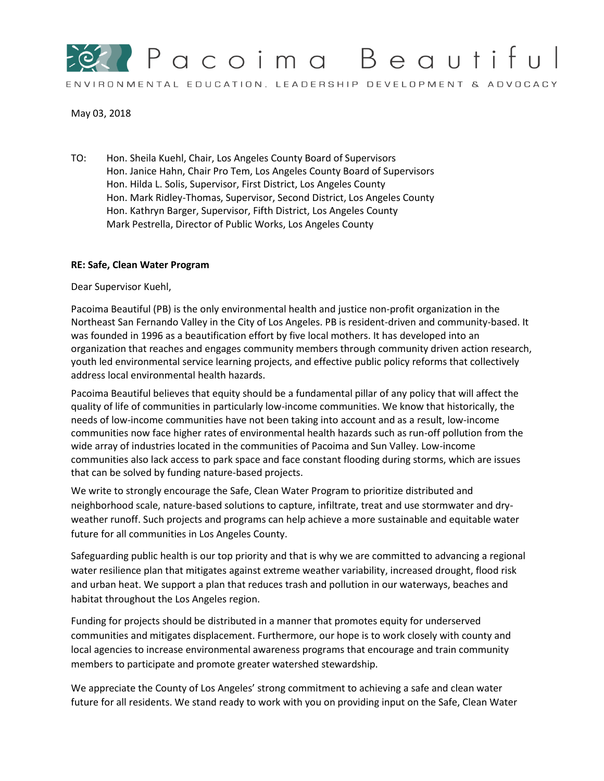

## May 03, 2018

TO: Hon. Sheila Kuehl, Chair, Los Angeles County Board of Supervisors Hon. Janice Hahn, Chair Pro Tem, Los Angeles County Board of Supervisors Hon. Hilda L. Solis, Supervisor, First District, Los Angeles County Hon. Mark Ridley-Thomas, Supervisor, Second District, Los Angeles County Hon. Kathryn Barger, Supervisor, Fifth District, Los Angeles County Mark Pestrella, Director of Public Works, Los Angeles County

## **RE: Safe, Clean Water Program**

Dear Supervisor Kuehl,

Pacoima Beautiful (PB) is the only environmental health and justice non-profit organization in the Northeast San Fernando Valley in the City of Los Angeles. PB is resident-driven and community-based. It was founded in 1996 as a beautification effort by five local mothers. It has developed into an organization that reaches and engages community members through community driven action research, youth led environmental service learning projects, and effective public policy reforms that collectively address local environmental health hazards.

Pacoima Beautiful believes that equity should be a fundamental pillar of any policy that will affect the quality of life of communities in particularly low-income communities. We know that historically, the needs of low-income communities have not been taking into account and as a result, low-income communities now face higher rates of environmental health hazards such as run-off pollution from the wide array of industries located in the communities of Pacoima and Sun Valley. Low-income communities also lack access to park space and face constant flooding during storms, which are issues that can be solved by funding nature-based projects.

We write to strongly encourage the Safe, Clean Water Program to prioritize distributed and neighborhood scale, nature-based solutions to capture, infiltrate, treat and use stormwater and dryweather runoff. Such projects and programs can help achieve a more sustainable and equitable water future for all communities in Los Angeles County.

Safeguarding public health is our top priority and that is why we are committed to advancing a regional water resilience plan that mitigates against extreme weather variability, increased drought, flood risk and urban heat. We support a plan that reduces trash and pollution in our waterways, beaches and habitat throughout the Los Angeles region.

Funding for projects should be distributed in a manner that promotes equity for underserved communities and mitigates displacement. Furthermore, our hope is to work closely with county and local agencies to increase environmental awareness programs that encourage and train community members to participate and promote greater watershed stewardship.

We appreciate the County of Los Angeles' strong commitment to achieving a safe and clean water future for all residents. We stand ready to work with you on providing input on the Safe, Clean Water